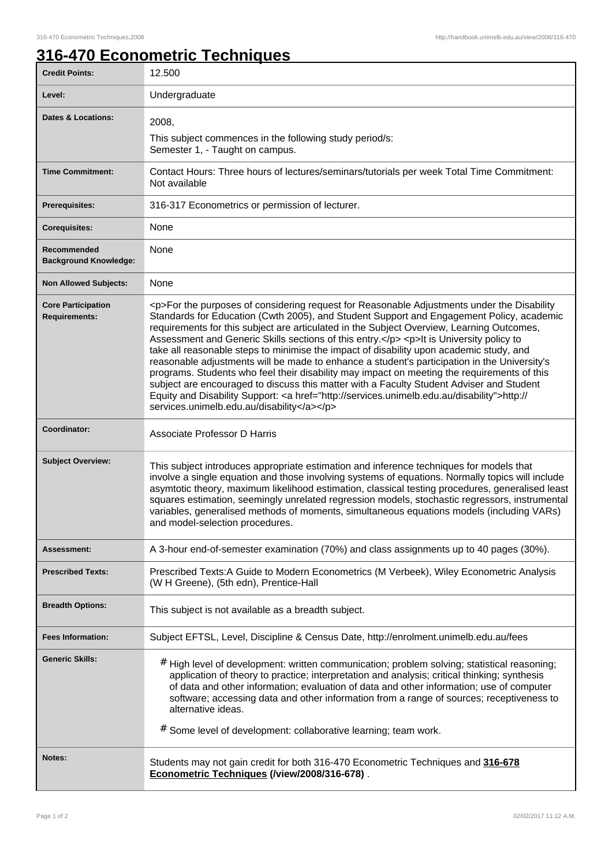## **316-470 Econometric Techniques**

| <b>Credit Points:</b>                             | 12.500                                                                                                                                                                                                                                                                                                                                                                                                                                                                                                                                                                                                                                                                                                                                                                                                                                                                                                                       |
|---------------------------------------------------|------------------------------------------------------------------------------------------------------------------------------------------------------------------------------------------------------------------------------------------------------------------------------------------------------------------------------------------------------------------------------------------------------------------------------------------------------------------------------------------------------------------------------------------------------------------------------------------------------------------------------------------------------------------------------------------------------------------------------------------------------------------------------------------------------------------------------------------------------------------------------------------------------------------------------|
| Level:                                            | Undergraduate                                                                                                                                                                                                                                                                                                                                                                                                                                                                                                                                                                                                                                                                                                                                                                                                                                                                                                                |
| <b>Dates &amp; Locations:</b>                     | 2008,<br>This subject commences in the following study period/s:<br>Semester 1, - Taught on campus.                                                                                                                                                                                                                                                                                                                                                                                                                                                                                                                                                                                                                                                                                                                                                                                                                          |
| <b>Time Commitment:</b>                           | Contact Hours: Three hours of lectures/seminars/tutorials per week Total Time Commitment:<br>Not available                                                                                                                                                                                                                                                                                                                                                                                                                                                                                                                                                                                                                                                                                                                                                                                                                   |
| <b>Prerequisites:</b>                             | 316-317 Econometrics or permission of lecturer.                                                                                                                                                                                                                                                                                                                                                                                                                                                                                                                                                                                                                                                                                                                                                                                                                                                                              |
| <b>Corequisites:</b>                              | None                                                                                                                                                                                                                                                                                                                                                                                                                                                                                                                                                                                                                                                                                                                                                                                                                                                                                                                         |
| Recommended<br><b>Background Knowledge:</b>       | None                                                                                                                                                                                                                                                                                                                                                                                                                                                                                                                                                                                                                                                                                                                                                                                                                                                                                                                         |
| <b>Non Allowed Subjects:</b>                      | None                                                                                                                                                                                                                                                                                                                                                                                                                                                                                                                                                                                                                                                                                                                                                                                                                                                                                                                         |
| <b>Core Participation</b><br><b>Requirements:</b> | <p>For the purposes of considering request for Reasonable Adjustments under the Disability<br/>Standards for Education (Cwth 2005), and Student Support and Engagement Policy, academic<br/>requirements for this subject are articulated in the Subject Overview, Learning Outcomes,<br/>Assessment and Generic Skills sections of this entry.</p> <p>It is University policy to<br/>take all reasonable steps to minimise the impact of disability upon academic study, and<br/>reasonable adjustments will be made to enhance a student's participation in the University's<br/>programs. Students who feel their disability may impact on meeting the requirements of this<br/>subject are encouraged to discuss this matter with a Faculty Student Adviser and Student<br/>Equity and Disability Support: &lt; a href="http://services.unimelb.edu.au/disability"&gt;http://<br/>services.unimelb.edu.au/disability</p> |
| Coordinator:                                      | Associate Professor D Harris                                                                                                                                                                                                                                                                                                                                                                                                                                                                                                                                                                                                                                                                                                                                                                                                                                                                                                 |
| <b>Subject Overview:</b>                          | This subject introduces appropriate estimation and inference techniques for models that<br>involve a single equation and those involving systems of equations. Normally topics will include<br>asymtotic theory, maximum likelihood estimation, classical testing procedures, generalised least<br>squares estimation, seemingly unrelated regression models, stochastic regressors, instrumental<br>variables, generalised methods of moments, simultaneous equations models (including VARs)<br>and model-selection procedures.                                                                                                                                                                                                                                                                                                                                                                                            |
| Assessment:                                       | A 3-hour end-of-semester examination (70%) and class assignments up to 40 pages (30%).                                                                                                                                                                                                                                                                                                                                                                                                                                                                                                                                                                                                                                                                                                                                                                                                                                       |
| <b>Prescribed Texts:</b>                          | Prescribed Texts:A Guide to Modern Econometrics (M Verbeek), Wiley Econometric Analysis<br>(W H Greene), (5th edn), Prentice-Hall                                                                                                                                                                                                                                                                                                                                                                                                                                                                                                                                                                                                                                                                                                                                                                                            |
| <b>Breadth Options:</b>                           | This subject is not available as a breadth subject.                                                                                                                                                                                                                                                                                                                                                                                                                                                                                                                                                                                                                                                                                                                                                                                                                                                                          |
| <b>Fees Information:</b>                          | Subject EFTSL, Level, Discipline & Census Date, http://enrolment.unimelb.edu.au/fees                                                                                                                                                                                                                                                                                                                                                                                                                                                                                                                                                                                                                                                                                                                                                                                                                                         |
| <b>Generic Skills:</b>                            | # High level of development: written communication; problem solving; statistical reasoning;<br>application of theory to practice; interpretation and analysis; critical thinking; synthesis<br>of data and other information; evaluation of data and other information; use of computer<br>software; accessing data and other information from a range of sources; receptiveness to<br>alternative ideas.<br># Some level of development: collaborative learning; team work.                                                                                                                                                                                                                                                                                                                                                                                                                                                 |
| Notes:                                            | Students may not gain credit for both 316-470 Econometric Techniques and 316-678<br>Econometric Techniques (/view/2008/316-678).                                                                                                                                                                                                                                                                                                                                                                                                                                                                                                                                                                                                                                                                                                                                                                                             |